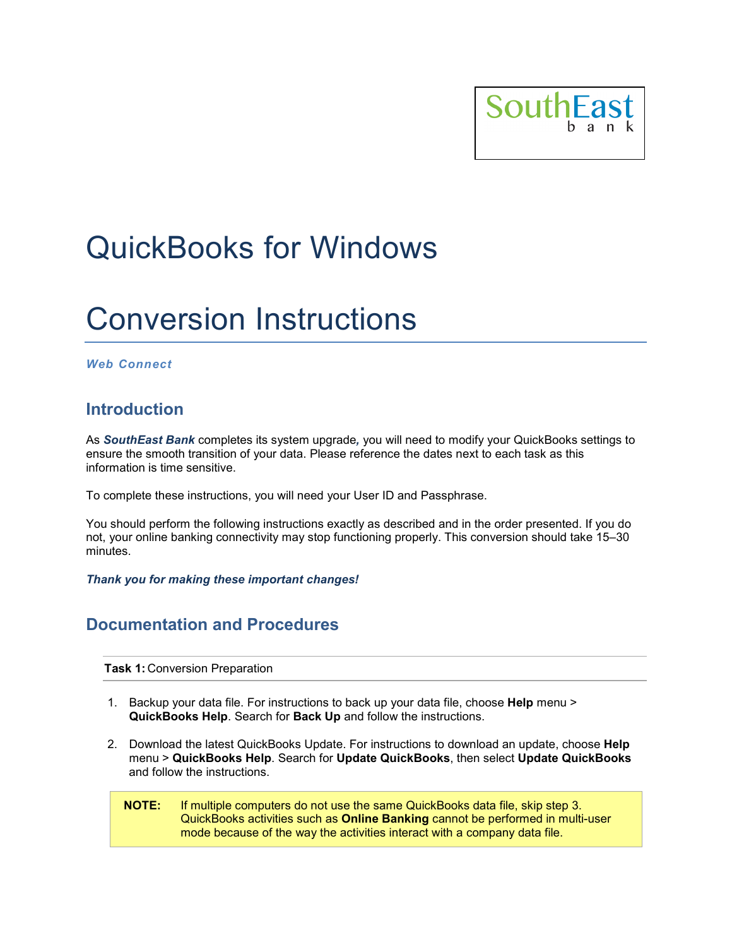

# QuickBooks for Windows

## Conversion Instructions

#### *Web Connect*

### **Introduction**

As *SouthEast Bank* completes its system upgrade*,* you will need to modify your QuickBooks settings to ensure the smooth transition of your data. Please reference the dates next to each task as this information is time sensitive.

To complete these instructions, you will need your User ID and Passphrase.

You should perform the following instructions exactly as described and in the order presented. If you do not, your online banking connectivity may stop functioning properly. This conversion should take 15–30 minutes.

*Thank you for making these important changes!*

### **Documentation and Procedures**

**Task 1:** Conversion Preparation

- 1. Backup your data file. For instructions to back up your data file, choose **Help** menu > **QuickBooks Help**. Search for **Back Up** and follow the instructions.
- 2. Download the latest QuickBooks Update. For instructions to download an update, choose **Help** menu > **QuickBooks Help**. Search for **Update QuickBooks**, then select **Update QuickBooks** and follow the instructions.
	- **NOTE:** If multiple computers do not use the same QuickBooks data file, skip step 3. QuickBooks activities such as **Online Banking** cannot be performed in multi-user mode because of the way the activities interact with a company data file.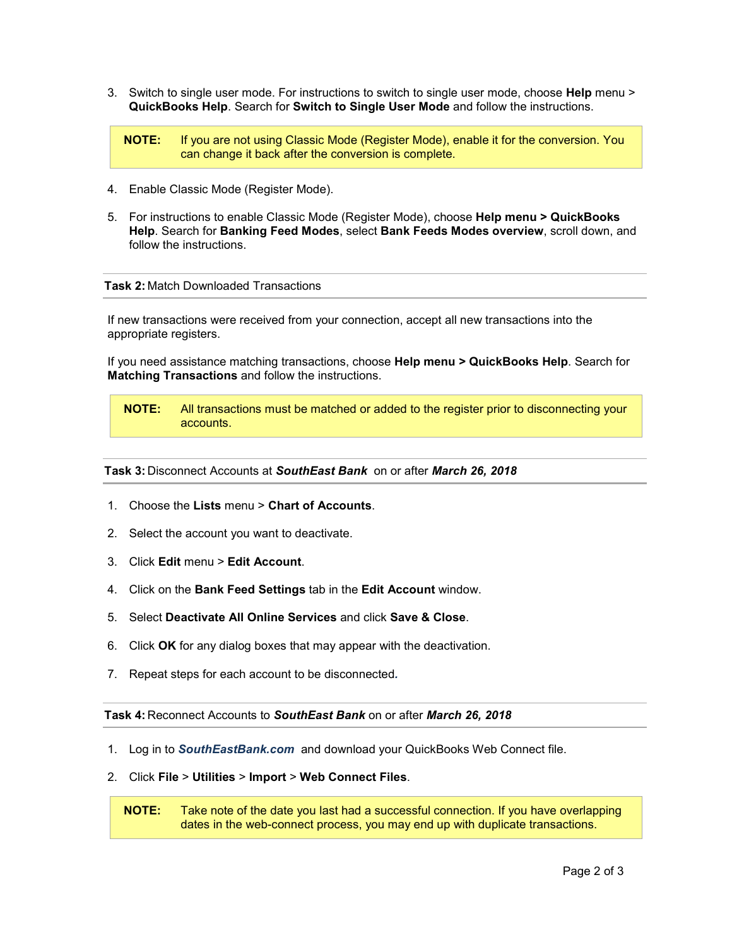3. Switch to single user mode. For instructions to switch to single user mode, choose **Help** menu > **QuickBooks Help**. Search for **Switch to Single User Mode** and follow the instructions.

**NOTE:** If you are not using Classic Mode (Register Mode), enable it for the conversion. You can change it back after the conversion is complete.

- 4. Enable Classic Mode (Register Mode).
- 5. For instructions to enable Classic Mode (Register Mode), choose **Help menu > QuickBooks Help**. Search for **Banking Feed Modes**, select **Bank Feeds Modes overview**, scroll down, and follow the instructions.

#### **Task 2:** Match Downloaded Transactions

If new transactions were received from your connection, accept all new transactions into the appropriate registers.

If you need assistance matching transactions, choose **Help menu > QuickBooks Help**. Search for **Matching Transactions** and follow the instructions.

**NOTE:** All transactions must be matched or added to the register prior to disconnecting your accounts.

**Task 3:** Disconnect Accounts at *SouthEast Bank* on or after *March 26, 2018*

- 1. Choose the **Lists** menu > **Chart of Accounts**.
- 2. Select the account you want to deactivate.
- 3. Click **Edit** menu > **Edit Account**.
- 4. Click on the **Bank Feed Settings** tab in the **Edit Account** window.
- 5. Select **Deactivate All Online Services** and click **Save & Close**.
- 6. Click **OK** for any dialog boxes that may appear with the deactivation.
- 7. Repeat steps for each account to be disconnected*.*

**Task 4:** Reconnect Accounts to *SouthEast Bank* on or after *March 26, 2018*

- 1. Log in to *SouthEastBank.com* and download your QuickBooks Web Connect file.
- 2. Click **File** > **Utilities** > **Import** > **Web Connect Files**.

**NOTE:** Take note of the date you last had a successful connection. If you have overlapping dates in the web-connect process, you may end up with duplicate transactions.